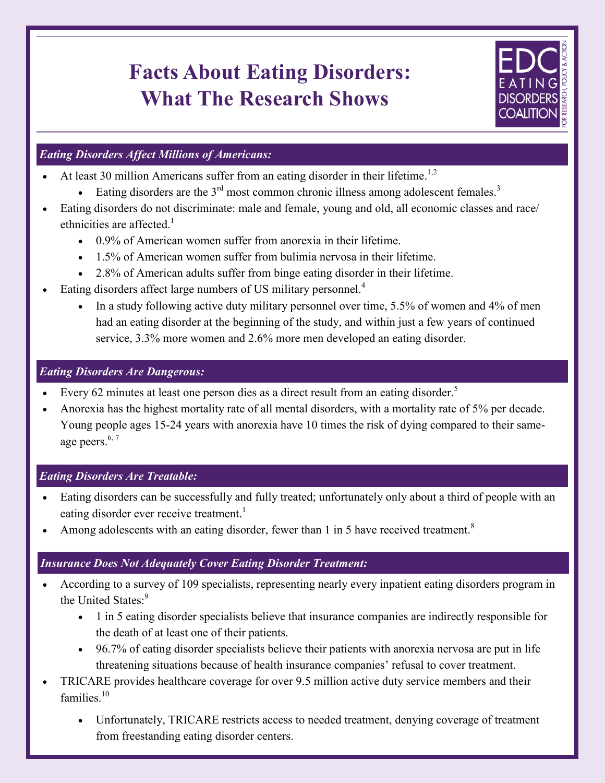# **Facts About Eating Disorders: What The Research Shows**



## *Eating Disorders Affect Millions of Americans:*

- At least 30 million Americans suffer from an eating disorder in their lifetime.<sup>1,2</sup>
	- Eating disorders are the  $3<sup>rd</sup>$  most common chronic illness among adolescent females.<sup>3</sup>
- Eating disorders do not discriminate: male and female, young and old, all economic classes and race/ ethnicities are affected.<sup>1</sup>
	- 0.9% of American women suffer from anorexia in their lifetime.
	- 1.5% of American women suffer from bulimia nervosa in their lifetime.
	- 2.8% of American adults suffer from binge eating disorder in their lifetime.
- Eating disorders affect large numbers of US military personnel.<sup>4</sup>
	- In a study following active duty military personnel over time, 5.5% of women and 4% of men had an eating disorder at the beginning of the study, and within just a few years of continued service, 3.3% more women and 2.6% more men developed an eating disorder.

### *Eating Disorders Are Dangerous:*

- Every 62 minutes at least one person dies as a direct result from an eating disorder.<sup>5</sup>
- Anorexia has the highest mortality rate of all mental disorders, with a mortality rate of 5% per decade. Young people ages 15-24 years with anorexia have 10 times the risk of dying compared to their sameage peers.<sup>6, 7</sup>

# *Eating Disorders Are Treatable:*

- Eating disorders can be successfully and fully treated; unfortunately only about a third of people with an eating disorder ever receive treatment.<sup>1</sup>
- Among adolescents with an eating disorder, fewer than 1 in 5 have received treatment.<sup>8</sup>

#### How the Anna Westin Act Combats Eating Disorders *Insurance Does Not Adequately Cover Eating Disorder Treatment:*

- According to a survey of 109 specialists, representing nearly every inpatient eating disorders program in the United States.<sup>9</sup>
	- 1 in 5 eating disorder specialists believe that insurance companies are indirectly responsible for the death of at least one of their patients.
	- 96.7% of eating disorder specialists believe their patients with anorexia nervosa are put in life threatening situations because of health insurance companies' refusal to cover treatment.
- TRICARE provides healthcare coverage for over 9.5 million active duty service members and their families $10$ 
	- Unfortunately, TRICARE restricts access to needed treatment, denying coverage of treatment from freestanding eating disorder centers.